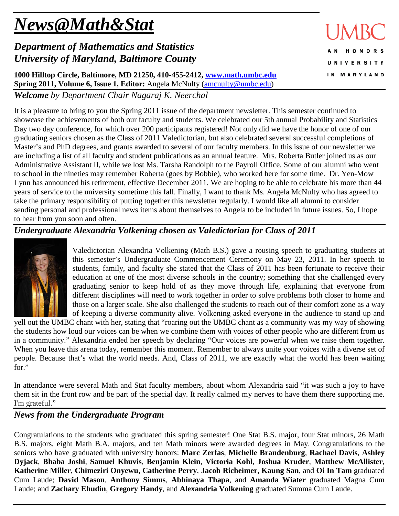# *News@Math&Stat*

# *Department of Mathematics and Statistics University of Maryland, Baltimore County*

**1000 Hilltop Circle, Baltimore, MD 21250, 410-455-2412, [www.math.umbc.edu](http://www.math.umbc.edu/) Spring 2011, Volume 6, Issue 1, Editor:** Angela McNulty [\(amcnulty@umbc.edu\)](mailto:amcnulty@umbc.edu)

*Welcome by Department Chair Nagaraj K. Neerchal*

It is a pleasure to bring to you the Spring 2011 issue of the department newsletter. This semester continued to showcase the achievements of both our faculty and students. We celebrated our 5th annual Probability and Statistics Day two day conference, for which over 200 participants registered! Not only did we have the honor of one of our graduating seniors chosen as the Class of 2011 Valedictorian, but also celebrated several successful completions of Master's and PhD degrees, and grants awarded to several of our faculty members. In this issue of our newsletter we are including a list of all faculty and student publications as an annual feature. Mrs. Roberta Butler joined us as our Administrative Assistant II, while we lost Ms. Tarsha Randolph to the Payroll Office. Some of our alumni who went to school in the nineties may remember Roberta (goes by Bobbie), who worked here for some time. Dr. Yen-Mow Lynn has announced his retirement, effective December 2011. We are hoping to be able to celebrate his more than 44 years of service to the university sometime this fall. Finally, I want to thank Ms. Angela McNulty who has agreed to take the primary responsibility of putting together this newsletter regularly. I would like all alumni to consider sending personal and professional news items about themselves to Angela to be included in future issues. So, I hope to hear from you soon and often.

## *Undergraduate Alexandria Volkening chosen as Valedictorian for Class of 2011*



Valedictorian Alexandria Volkening (Math B.S.) gave a rousing speech to graduating students at this semester's Undergraduate Commencement Ceremony on May 23, 2011. In her speech to students, family, and faculty she stated that the Class of 2011 has been fortunate to receive their education at one of the most diverse schools in the country; something that she challenged every graduating senior to keep hold of as they move through life, explaining that everyone from different disciplines will need to work together in order to solve problems both closer to home and those on a larger scale. She also challenged the students to reach out of their comfort zone as a way of keeping a diverse community alive. Volkening asked everyone in the audience to stand up and

yell out the UMBC chant with her, stating that "roaring out the UMBC chant as a community was my way of showing the students how loud our voices can be when we combine them with voices of other people who are different from us in a community." Alexandria ended her speech by declaring "Our voices are powerful when we raise them together. When you leave this arena today, remember this moment. Remember to always unite your voices with a diverse set of people. Because that's what the world needs. And, Class of 2011, we are exactly what the world has been waiting for."

In attendance were several Math and Stat faculty members, about whom Alexandria said "it was such a joy to have them sit in the front row and be part of the special day. It really calmed my nerves to have them there supporting me. I'm grateful."

## *News from the Undergraduate Program*

Congratulations to the students who graduated this spring semester! One Stat B.S. major, four Stat minors, 26 Math B.S. majors, eight Math B.A. majors, and ten Math minors were awarded degrees in May. Congratulations to the seniors who have graduated with university honors: **Marc Zerfas**, **Michelle Brandenburg**, **Rachael Davis**, **Ashley Dyjack**, **Bhaba Joshi**, **Samuel Khuvis**, **Benjamin Klein**, **Victoria Kohl**, **Joshua Kruder**, **Matthew McAllister**, **Katherine Miller**, **Chimeziri Onyewu**, **Catherine Perry**, **Jacob Richeimer**, **Kaung San**, and **Oi In Tam** graduated Cum Laude; **David Mason**, **Anthony Simms**, **Abhinaya Thapa**, and **Amanda Wiater** graduated Magna Cum Laude; and **Zachary Ehudin**, **Gregory Handy**, and **Alexandria Volkening** graduated Summa Cum Laude.

**HONORS UNIVERSITY** IN MARYLAND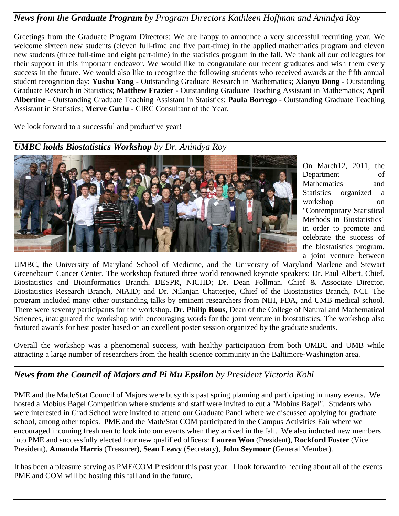#### *News from the Graduate Program by Program Directors Kathleen Hoffman and Anindya Roy*

Greetings from the Graduate Program Directors: We are happy to announce a very successful recruiting year. We welcome sixteen new students (eleven full-time and five part-time) in the applied mathematics program and eleven new students (three full-time and eight part-time) in the statistics program in the fall. We thank all our colleagues for their support in this important endeavor. We would like to congratulate our recent graduates and wish them every success in the future. We would also like to recognize the following students who received awards at the fifth annual student recognition day: **Yushu Yang** - Outstanding Graduate Research in Mathematics; **Xiaoyu Dong -** Outstanding Graduate Research in Statistics; **Matthew Frazier** - Outstanding Graduate Teaching Assistant in Mathematics; **April Albertine** - Outstanding Graduate Teaching Assistant in Statistics; **Paula Borrego** - Outstanding Graduate Teaching Assistant in Statistics; **Merve Gurlu** - CIRC Consultant of the Year.

We look forward to a successful and productive year!

#### *UMBC holds Biostatistics Workshop by Dr. Anindya Roy*



On March12, 2011, the Department of Mathematics and Statistics organized a workshop on "Contemporary Statistical Methods in Biostatistics" in order to promote and celebrate the success of the biostatistics program, a joint venture between

UMBC, the University of Maryland School of Medicine, and the University of Maryland Marlene and Stewart Greenebaum Cancer Center. The workshop featured three world renowned keynote speakers: Dr. Paul Albert, Chief, Biostatistics and Bioinformatics Branch, DESPR, NICHD; Dr. Dean Follman, Chief & Associate Director, Biostatistics Research Branch, NIAID; and Dr. Nilanjan Chatterjee, Chief of the Biostatistics Branch, NCI. The program included many other outstanding talks by eminent researchers from NIH, FDA, and UMB medical school. There were seventy participants for the workshop. **Dr. Philip Rous**, Dean of the College of Natural and Mathematical Sciences, inaugurated the workshop with encouraging words for the joint venture in biostatistics. The workshop also featured awards for best poster based on an excellent poster session organized by the graduate students.

Overall the workshop was a phenomenal success, with healthy participation from both UMBC and UMB while attracting a large number of researchers from the health science community in the Baltimore-Washington area.

#### *News from the Council of Majors and Pi Mu Epsilon by President Victoria Kohl*

PME and the Math/Stat Council of Majors were busy this past spring planning and participating in many events. We hosted a Mobius Bagel Competition where students and staff were invited to cut a "Mobius Bagel". Students who were interested in Grad School were invited to attend our Graduate Panel where we discussed applying for graduate school, among other topics. PME and the Math/Stat COM participated in the Campus Activities Fair where we encouraged incoming freshmen to look into our events when they arrived in the fall. We also inducted new members into PME and successfully elected four new qualified officers: **Lauren Won** (President), **Rockford Foster** (Vice President), **Amanda Harris** (Treasurer), **Sean Leavy** (Secretary), **John Seymour** (General Member).

It has been a pleasure serving as PME/COM President this past year. I look forward to hearing about all of the events PME and COM will be hosting this fall and in the future.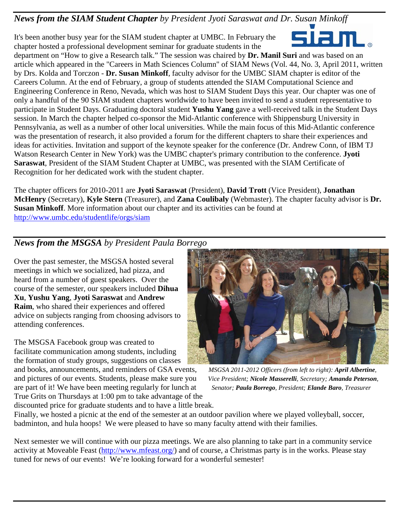#### *News from the SIAM Student Chapter by President Jyoti Saraswat and Dr. Susan Minkoff*

It's been another busy year for the SIAM student chapter at UMBC. In February the chapter hosted a professional development seminar for graduate students in the



department on "How to give a Research talk." The session was chaired by **Dr. Manil Suri** and was based on an article which appeared in the "Careers in Math Sciences Column" of SIAM News (Vol. 44, No. 3, April 2011, written by Drs. Kolda and Torczon - **Dr. Susan Minkoff**, faculty advisor for the UMBC SIAM chapter is editor of the Careers Column. At the end of February, a group of students attended the SIAM Computational Science and Engineering Conference in Reno, Nevada, which was host to SIAM Student Days this year. Our chapter was one of only a handful of the 90 SIAM student chapters worldwide to have been invited to send a student representative to participate in Student Days. Graduating doctoral student **Yushu Yang** gave a well-received talk in the Student Days session. In March the chapter helped co-sponsor the Mid-Atlantic conference with Shippensburg University in Pennsylvania, as well as a number of other local universities. While the main focus of this Mid-Atlantic conference was the presentation of research, it also provided a forum for the different chapters to share their experiences and ideas for activities. Invitation and support of the keynote speaker for the conference (Dr. Andrew Conn, of IBM TJ Watson Research Center in New York) was the UMBC chapter's primary contribution to the conference. **Jyoti Saraswat**, President of the SIAM Student Chapter at UMBC, was presented with the SIAM Certificate of Recognition for her dedicated work with the student chapter.

The chapter officers for 2010-2011 are **Jyoti Saraswat** (President), **David Trott** (Vice President), **Jonathan McHenry** (Secretary), **Kyle Stern** (Treasurer), and **Zana Coulibaly** (Webmaster). The chapter faculty advisor is **Dr. Susan Minkoff**. More information about our chapter and its activities can be found at <http://www.umbc.edu/studentlife/orgs/siam>

# *News from the MSGSA by President Paula Borrego*

Over the past semester, the MSGSA hosted several meetings in which we socialized, had pizza, and heard from a number of guest speakers. Over the course of the semester, our speakers included **Dihua Xu**, **Yushu Yang**, **Jyoti Saraswat** and **Andrew Raim**, who shared their experiences and offered advice on subjects ranging from choosing advisors to attending conferences.

The MSGSA Facebook group was created to facilitate communication among students, including the formation of study groups, suggestions on classes

and books, announcements, and reminders of GSA events, *MSGSA 2011-2012 Officers (from left to right): April Albertine,* and pictures of our events. Students, please make sure you *Vice President; Nicole Masserelli, Secretary; Amanda Peterson,*  are part of it! We have been meeting regularly for lunch at *Senator; Paula Borrego, President; Elande Baro, Treasurer* True Grits on Thursdays at 1:00 pm to take advantage of the discounted price for graduate students and to have a little break.



Finally, we hosted a picnic at the end of the semester at an outdoor pavilion where we played volleyball, soccer, badminton, and hula hoops! We were pleased to have so many faculty attend with their families.

Next semester we will continue with our pizza meetings. We are also planning to take part in a community service activity at Moveable Feast [\(http://www.mfeast.org/\)](http://www.mfeast.org/) and of course, a Christmas party is in the works. Please stay tuned for news of our events! We're looking forward for a wonderful semester!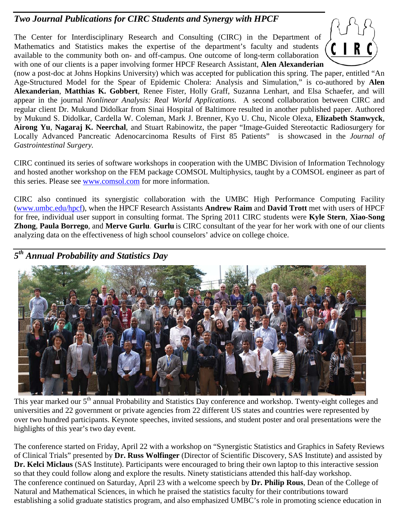#### *Two Journal Publications for CIRC Students and Synergy with HPCF*

The Center for Interdisciplinary Research and Consulting (CIRC) in the Department of Mathematics and Statistics makes the expertise of the department's faculty and students available to the community both on- and off-campus. One outcome of long-term collaboration with one of our clients is a paper involving former HPCF Research Assistant, **Alen Alexanderian**



(now a post-doc at Johns Hopkins University) which was accepted for publication this spring. The paper, entitled "An Age-Structured Model for the Spear of Epidemic Cholera: Analysis and Simulation," is co-authored by **Alen Alexanderian**, **Matthias K. Gobbert**, Renee Fister, Holly Graff, Suzanna Lenhart, and Elsa Schaefer, and will appear in the journal *Nonlinear Analysis: Real World Applications*. A second collaboration between CIRC and regular client Dr. Mukund Didolkar from Sinai Hospital of Baltimore resulted in another published paper. Authored by Mukund S. Didolkar, Cardella W. Coleman, Mark J. Brenner, Kyo U. Chu, Nicole Olexa, **Elizabeth Stanwyck**, **Airong Yu**, **Nagaraj K. Neerchal**, and Stuart Rabinowitz, the paper "Image-Guided Stereotactic Radiosurgery for Locally Advanced Pancreatic Adenocarcinoma Results of First 85 Patients" is showcased in the *Journal of Gastrointestinal Surgery.*

CIRC continued its series of software workshops in cooperation with the UMBC Division of Information Technology and hosted another workshop on the FEM package COMSOL Multiphysics, taught by a COMSOL engineer as part of this series. Please see [www.comsol.com](http://www.comsol.com/) for more information.

CIRC also continued its synergistic collaboration with the UMBC High Performance Computing Facility [\(www.umbc.edu/hpcf\)](http://www.umbc.edu/hpcf), when the HPCF Research Assistants **Andrew Raim** and **David Trott** met with users of HPCF for free, individual user support in consulting format. The Spring 2011 CIRC students were **Kyle Stern**, **Xiao-Song Zhong**, **Paula Borrego**, and **Merve Gurlu**. **Gurlu** is CIRC consultant of the year for her work with one of our clients analyzing data on the effectiveness of high school counselors' advice on college choice.

#### *5th Annual Probability and Statistics Day*



This year marked our 5<sup>th</sup> annual Probability and Statistics Day conference and workshop. Twenty-eight colleges and universities and 22 government or private agencies from 22 different US states and countries were represented by over two hundred participants. Keynote speeches, invited sessions, and student poster and oral presentations were the highlights of this year's two day event.

The conference started on Friday, April 22 with a workshop on "Synergistic Statistics and Graphics in Safety Reviews of Clinical Trials" presented by **Dr. Russ Wolfinger** (Director of Scientific Discovery, SAS Institute) and assisted by **Dr. Kelci Miclaus** (SAS Institute). Participants were encouraged to bring their own laptop to this interactive session so that they could follow along and explore the results. Ninety statisticians attended this half-day workshop. The conference continued on Saturday, April 23 with a welcome speech by **Dr. Philip Rous**, Dean of the College of Natural and Mathematical Sciences, in which he praised the statistics faculty for their contributions toward establishing a solid graduate statistics program, and also emphasized UMBC's role in promoting science education in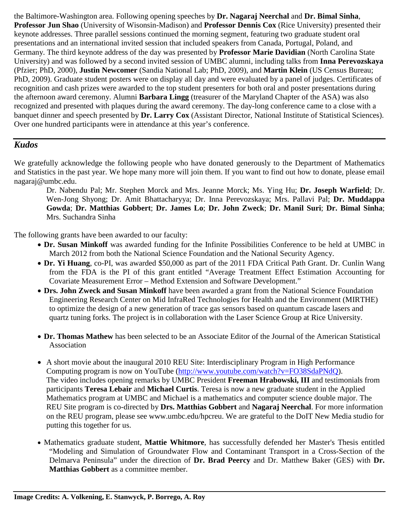the Baltimore-Washington area. Following opening speeches by **Dr. Nagaraj Neerchal** and **Dr. Bimal Sinha**, **Professor Jun Shao** (University of Wisonsin-Madison) and **Professor Dennis Cox** (Rice University) presented their keynote addresses. Three parallel sessions continued the morning segment, featuring two graduate student oral presentations and an international invited session that included speakers from Canada, Portugal, Poland, and Germany. The third keynote address of the day was presented by **Professor Marie Davidian** (North Carolina State University) and was followed by a second invited session of UMBC alumni, including talks from **Inna Perevozskaya** (Pfzier; PhD, 2000), **Justin Newcomer** (Sandia National Lab; PhD, 2009), and **Martin Klein** (US Census Bureau; PhD, 2009). Graduate student posters were on display all day and were evaluated by a panel of judges. Certificates of recognition and cash prizes were awarded to the top student presenters for both oral and poster presentations during the afternoon award ceremony. Alumni **Barbara Lingg** (treasurer of the Maryland Chapter of the ASA) was also recognized and presented with plaques during the award ceremony. The day-long conference came to a close with a banquet dinner and speech presented by **Dr. Larry Cox** (Assistant Director, National Institute of Statistical Sciences). Over one hundred participants were in attendance at this year's conference.

#### *Kudos*

We gratefully acknowledge the following people who have donated generously to the Department of Mathematics and Statistics in the past year. We hope many more will join them. If you want to find out how to donate, please email nagaraj@umbc.edu.

Dr. Nabendu Pal; Mr. Stephen Morck and Mrs. Jeanne Morck; Ms. Ying Hu; **Dr. Joseph Warfield**; Dr. Wen-Jong Shyong; Dr. Amit Bhattacharyya; Dr. Inna Perevozskaya; Mrs. Pallavi Pal; **Dr. Muddappa Gowda**; **Dr. Matthias Gobbert**; **Dr. James Lo**; **Dr. John Zweck**; **Dr. Manil Suri**; **Dr. Bimal Sinha**; Mrs. Suchandra Sinha

The following grants have been awarded to our faculty:

- **Dr. Susan Minkoff** was awarded funding for the Infinite Possibilities Conference to be held at UMBC in March 2012 from both the National Science Foundation and the National Security Agency.
- **Dr. Yi Huang**, co-PI, was awarded \$50,000 as part of the 2011 FDA Critical Path Grant. Dr. Cunlin Wang from the FDA is the PI of this grant entitled "Average Treatment Effect Estimation Accounting for Covariate Measurement Error – Method Extension and Software Development."
- **Drs. John Zweck and Susan Minkoff** have been awarded a grant from the National Science Foundation Engineering Research Center on Mid InfraRed Technologies for Health and the Environment (MIRTHE) to optimize the design of a new generation of trace gas sensors based on quantum cascade lasers and quartz tuning forks. The project is in collaboration with the Laser Science Group at Rice University.
- **Dr. Thomas Mathew** has been selected to be an Associate Editor of the Journal of the American Statistical Association
- A short movie about the inaugural 2010 REU Site: Interdisciplinary Program in High Performance Computing program is now on YouTube [\(http://www.youtube.com/watch?v=FO38SdaPNdQ\)](http://www.youtube.com/watch?v=FO38SdaPNdQ). The video includes opening remarks by UMBC President **Freeman Hrabowski, III** and testimonials from participants **Teresa Lebair** and **Michael Curtis**. Teresa is now a new graduate student in the Applied Mathematics program at UMBC and Michael is a mathematics and computer science double major. The REU Site program is co-directed by **Drs. Matthias Gobbert** and **Nagaraj Neerchal**. For more information on the REU program, please see www.umbc.edu/hpcreu. We are grateful to the DoIT New Media studio for putting this together for us.
- Mathematics graduate student, **Mattie Whitmore**, has successfully defended her Master's Thesis entitled "Modeling and Simulation of Groundwater Flow and Contaminant Transport in a Cross-Section of the Delmarva Peninsula" under the direction of **Dr. Brad Peercy** and Dr. Matthew Baker (GES) with **Dr. Matthias Gobbert** as a committee member.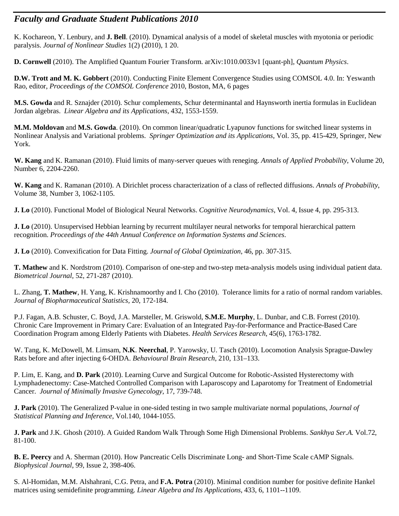#### *Faculty and Graduate Student Publications 2010*

K. Kochareon, Y. Lenbury, and **J. Bell**. (2010). Dynamical analysis of a model of skeletal muscles with myotonia or periodic paralysis. *Journal of Nonlinear Studies* 1(2) (2010), 1 20.

**D. Cornwell** (2010). The Amplified Quantum Fourier Transform. arXiv:1010.0033v1 [quant-ph], *Quantum Physics*.

**D.W. Trott and M. K. Gobbert** (2010). Conducting Finite Element Convergence Studies using COMSOL 4.0. In: Yeswanth Rao, editor, *Proceedings of the COMSOL Conference* 2010, Boston, MA, 6 pages

**M.S. Gowda** and R. Sznajder (2010). Schur complements, Schur determinantal and Haynsworth inertia formulas in Euclidean Jordan algebras. *Linear Algebra and its Applications*, 432, 1553-1559.

**M.M. Moldovan** and **M.S. Gowda**. (2010). On common linear/quadratic Lyapunov functions for switched linear systems in Nonlinear Analysis and Variational problems. *Springer Optimization and its Applications*, Vol. 35, pp. 415-429, Springer, New York.

**W. Kang** and K. Ramanan (2010). Fluid limits of many-server queues with reneging. *Annals of Applied Probability*, Volume 20, Number 6, 2204-2260.

**W. Kang** and K. Ramanan (2010). A Dirichlet process characterization of a class of reflected diffusions. *Annals of Probability*, Volume 38, Number 3, 1062-1105.

**J. Lo** (2010). Functional Model of Biological Neural Networks. *Cognitive Neurodynamics*, Vol. 4, Issue 4, pp. 295-313.

**J. Lo** (2010). Unsupervised Hebbian learning by recurrent multilayer neural networks for temporal hierarchical pattern recognition. *Proceedings of the 44th Annual Conference on Information Systems and Sciences*.

**J. Lo** (2010). Convexification for Data Fitting. *Journal of Global Optimization*, 46, pp. 307-315.

**T. Mathew** and K. Nordstrom (2010). Comparison of one-step and two-step meta-analysis models using individual patient data. *Biometrical Journal,* 52, 271-287 (2010).

L. Zhang, **T. Mathew**, H. Yang, K. Krishnamoorthy and I. Cho (2010). Tolerance limits for a ratio of normal random variables. *Journal of Biopharmaceutical Statistics,* 20, 172-184.

P.J. Fagan, A.B. Schuster, C. Boyd, J.A. Marsteller, M. Griswold, **S.M.E. Murphy**, L. Dunbar, and C.B. Forrest (2010). Chronic Care Improvement in Primary Care: Evaluation of an Integrated Pay-for-Performance and Practice-Based Care Coordination Program among Elderly Patients with Diabetes. *Health Services Research*, 45(6), 1763-1782.

W. Tang, K. McDowell, M. Limsam, **N.K**. **Neerchal**, P. Yarowsky, U. Tasch (2010). Locomotion Analysis Sprague-Dawley Rats before and after injecting 6-OHDA. *Behavioural Brain Research*, 210, 131–133.

P. Lim, E. Kang, and **D. Park** (2010). Learning Curve and Surgical Outcome for Robotic-Assisted Hysterectomy with Lymphadenectomy: Case-Matched Controlled Comparison with Laparoscopy and Laparotomy for Treatment of Endometrial Cancer. *Journal of Minimally Invasive Gynecology*, 17, 739-748.

**J. Park** (2010). The Generalized P-value in one-sided testing in two sample multivariate normal populations, *Journal of Statistical Planning and Inference*, Vol.140, 1044-1055.

**J. Park** and J.K. Ghosh (2010). A Guided Random Walk Through Some High Dimensional Problems. *Sankhya Ser.A.* Vol.72, 81-100.

**B. E. Peercy** and A. Sherman (2010). How Pancreatic Cells Discriminate Long- and Short-Time Scale cAMP Signals. *Biophysical Journal*, 99, Issue 2, 398-406.

S. Al-Homidan, M.M. Alshahrani, C.G. Petra, and **F.A. Potra** (2010). Minimal condition number for positive definite Hankel matrices using semidefinite programming. *Linear Algebra and Its Applications*, 433, 6, 1101--1109.